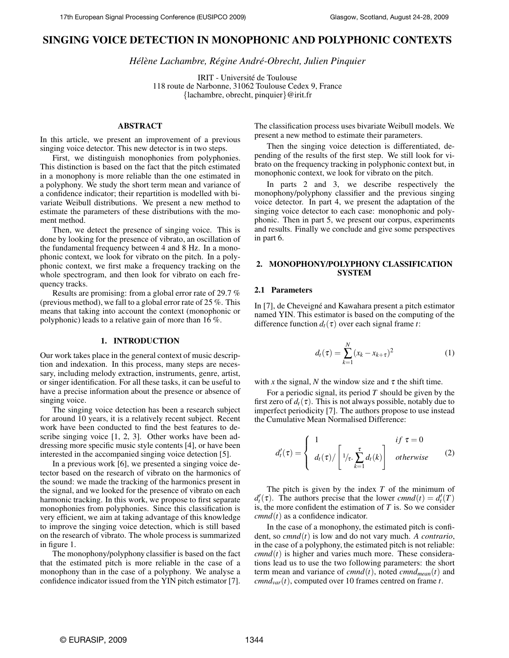# **SINGING VOICE DETECTION IN MONOPHONIC AND POLYPHONIC CONTEXTS**

*Hel´ ene Lachambre, R ` egine Andr ´ e-Obrecht, Julien Pinquier ´*

IRIT - Université de Toulouse 118 route de Narbonne, 31062 Toulouse Cedex 9, France {lachambre, obrecht, pinquier}@irit.fr

# **ABSTRACT**

In this article, we present an improvement of a previous singing voice detector. This new detector is in two steps.

First, we distinguish monophonies from polyphonies. This distinction is based on the fact that the pitch estimated in a monophony is more reliable than the one estimated in a polyphony. We study the short term mean and variance of a confidence indicator; their repartition is modelled with bivariate Weibull distributions. We present a new method to estimate the parameters of these distributions with the moment method.

Then, we detect the presence of singing voice. This is done by looking for the presence of vibrato, an oscillation of the fundamental frequency between 4 and 8 Hz. In a monophonic context, we look for vibrato on the pitch. In a polyphonic context, we first make a frequency tracking on the whole spectrogram, and then look for vibrato on each frequency tracks.

Results are promising: from a global error rate of 29.7 % (previous method), we fall to a global error rate of 25 %. This means that taking into account the context (monophonic or polyphonic) leads to a relative gain of more than 16 %.

### **1. INTRODUCTION**

Our work takes place in the general context of music description and indexation. In this process, many steps are necessary, including melody extraction, instruments, genre, artist, or singer identification. For all these tasks, it can be useful to have a precise information about the presence or absence of singing voice.

The singing voice detection has been a research subject for around 10 years, it is a relatively recent subject. Recent work have been conducted to find the best features to describe singing voice [1, 2, 3]. Other works have been addressing more specific music style contents [4], or have been interested in the accompanied singing voice detection [5].

In a previous work [6], we presented a singing voice detector based on the research of vibrato on the harmonics of the sound: we made the tracking of the harmonics present in the signal, and we looked for the presence of vibrato on each harmonic tracking. In this work, we propose to first separate monophonies from polyphonies. Since this classification is very efficient, we aim at taking advantage of this knowledge to improve the singing voice detection, which is still based on the research of vibrato. The whole process is summarized in figure 1.

The monophony/polyphony classifier is based on the fact that the estimated pitch is more reliable in the case of a monophony than in the case of a polyphony. We analyse a confidence indicator issued from the YIN pitch estimator [7].

The classification process uses bivariate Weibull models. We present a new method to estimate their parameters.

Then the singing voice detection is differentiated, depending of the results of the first step. We still look for vibrato on the frequency tracking in polyphonic context but, in monophonic context, we look for vibrato on the pitch.

In parts 2 and 3, we describe respectively the monophony/polyphony classifier and the previous singing voice detector. In part 4, we present the adaptation of the singing voice detector to each case: monophonic and polyphonic. Then in part 5, we present our corpus, experiments and results. Finally we conclude and give some perspectives in part 6.

# **2. MONOPHONY/POLYPHONY CLASSIFICATION SYSTEM**

### **2.1 Parameters**

In [7], de Cheveigné and Kawahara present a pitch estimator named YIN. This estimator is based on the computing of the difference function  $d_t(\tau)$  over each signal frame *t*:

$$
d_t(\tau) = \sum_{k=1}^{N} (x_k - x_{k+\tau})^2
$$
 (1)

with x the signal, N the window size and  $\tau$  the shift time.

For a periodic signal, its period *T* should be given by the first zero of  $d_t(\tau)$ . This is not always possible, notably due to imperfect periodicity [7]. The authors propose to use instead the Cumulative Mean Normalised Difference:

$$
d'_{t}(\tau) = \begin{cases} 1 & \text{if } \tau = 0 \\ d_{t}(\tau) / \left[ 1/\tau \cdot \sum_{k=1}^{\tau} d_{t}(k) \right] & \text{otherwise} \end{cases}
$$
 (2)

The pitch is given by the index *T* of the minimum of  $d'_{t}(\tau)$ . The authors precise that the lower *cmnd*(*t*) =  $d'_{t}(T)$ is, the more confident the estimation of *T* is. So we consider  $cmnd(t)$  as a confidence indicator.

In the case of a monophony, the estimated pitch is confident, so *cmnd*(*t*) is low and do not vary much. *A contrario*, in the case of a polyphony, the estimated pitch is not reliable:  $cmnd(t)$  is higher and varies much more. These considerations lead us to use the two following parameters: the short term mean and variance of  $cmnd(t)$ , noted  $cmnd_{mean}(t)$  and *cmnd*<sub>*var</sub>*(*t*), computed over 10 frames centred on frame *t*.</sub>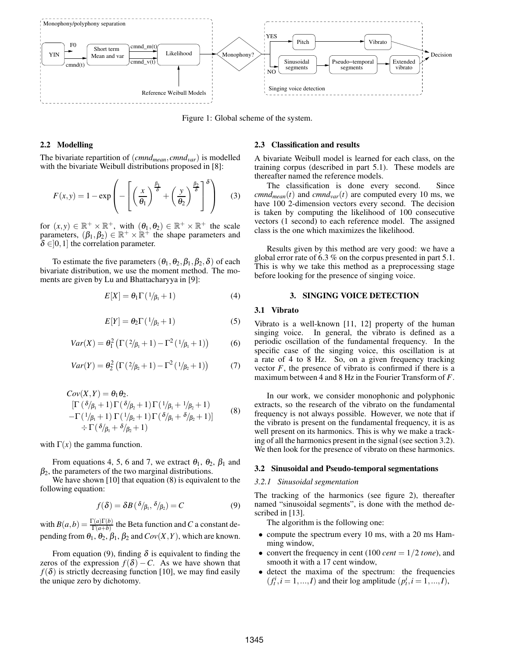

Figure 1: Global scheme of the system.

# **2.2 Modelling**

The bivariate repartition of (*cmndmean*,*cmndvar*) is modelled with the bivariate Weibull distributions proposed in [8]:

$$
F(x,y) = 1 - \exp\left(-\left[\left(\frac{x}{\theta_1}\right)^{\frac{\beta_1}{\delta}} + \left(\frac{y}{\theta_2}\right)^{\frac{\beta_2}{\delta}}\right]^{\delta}\right) \quad (3)
$$

for  $(x, y) \in \mathbb{R}^+ \times \mathbb{R}^+$ , with  $(\theta_1, \theta_2) \in \mathbb{R}^+ \times \mathbb{R}^+$  the scale parameters,  $(\beta_1, \beta_2) \in \mathbb{R}^+ \times \mathbb{R}^+$  the shape parameters and  $\delta \in ]0,1]$  the correlation parameter.

To estimate the five parameters  $(\theta_1, \theta_2, \beta_1, \beta_2, \delta)$  of each bivariate distribution, we use the moment method. The moments are given by Lu and Bhattacharyya in [9]:

$$
E[X] = \theta_1 \Gamma(1/\beta_1 + 1) \tag{4}
$$

$$
E[Y] = \theta_2 \Gamma(1/\beta_2 + 1) \tag{5}
$$

$$
Var(X) = \theta_1^2 \left( \Gamma(2/\beta_1 + 1) - \Gamma^2(1/\beta_1 + 1) \right)
$$
 (6)

$$
Var(Y) = \theta_2^2 \left( \Gamma(2/\beta_2 + 1) - \Gamma^2(1/\beta_2 + 1) \right)
$$
 (7)

$$
Cov(X, Y) = \theta_1 \theta_2.
$$
  
\n
$$
[\Gamma(\delta/\beta_1 + 1) \Gamma(\delta/\beta_2 + 1) \Gamma(1/\beta_1 + 1/\beta_2 + 1) - \Gamma(1/\beta_1 + 1) \Gamma(\delta/\beta_1 + 1) \Gamma(\delta/\beta_1 + 1)]
$$
\n
$$
\div \Gamma(\delta/\beta_1 + \delta/\beta_2 + 1)
$$
\n(8)

with  $\Gamma(x)$  the gamma function.

From equations 4, 5, 6 and 7, we extract  $\theta_1$ ,  $\theta_2$ ,  $\beta_1$  and  $\beta_2$ , the parameters of the two marginal distributions.

We have shown [10] that equation  $(8)$  is equivalent to the following equation:

$$
f(\delta) = \delta B(\delta/\beta_1, \delta/\beta_2) = C \tag{9}
$$

with  $B(a,b) = \frac{\Gamma(a)\Gamma(b)}{\Gamma(a+b)}$  the Beta function and *C* a constant depending from  $\theta_1$ ,  $\theta_2$ ,  $\beta_1$ ,  $\beta_2$  and  $Cov(X, Y)$ , which are known.

From equation (9), finding  $\delta$  is equivalent to finding the zeros of the expression  $f(\delta) - C$ . As we have shown that  $f(\delta)$  is strictly decreasing function [10], we may find easily the unique zero by dichotomy.

### **2.3 Classification and results**

A bivariate Weibull model is learned for each class, on the training corpus (described in part 5.1). These models are thereafter named the reference models.

The classification is done every second. Since *cmnd*<sub>mean</sub>(*t*) and *cmnd*<sub>var</sub>(*t*) are computed every 10 ms, we have 100 2-dimension vectors every second. The decision is taken by computing the likelihood of 100 consecutive vectors (1 second) to each reference model. The assigned class is the one which maximizes the likelihood.

Results given by this method are very good: we have a global error rate of 6.3 % on the corpus presented in part 5.1. This is why we take this method as a preprocessing stage before looking for the presence of singing voice.

### **3. SINGING VOICE DETECTION**

### **3.1 Vibrato**

Vibrato is a well-known [11, 12] property of the human singing voice. In general, the vibrato is defined as a periodic oscillation of the fundamental frequency. In the specific case of the singing voice, this oscillation is at a rate of 4 to 8 Hz. So, on a given frequency tracking vector  $F$ , the presence of vibrato is confirmed if there is a maximum between 4 and 8 Hz in the Fourier Transform of *F*.

In our work, we consider monophonic and polyphonic extracts, so the research of the vibrato on the fundamental frequency is not always possible. However, we note that if the vibrato is present on the fundamental frequency, it is as well present on its harmonics. This is why we make a tracking of all the harmonics present in the signal (see section 3.2). We then look for the presence of vibrato on these harmonics.

#### **3.2 Sinusoidal and Pseudo-temporal segmentations**

#### *3.2.1 Sinusoidal segmentation*

The tracking of the harmonics (see figure 2), thereafter named "sinusoidal segments", is done with the method described in [13].

The algorithm is the following one:

- compute the spectrum every 10 ms, with a 20 ms Hamming window,
- convert the frequency in cent (100 *cent* =  $1/2$  *tone*), and smooth it with a 17 cent window,
- detect the maxima of the spectrum: the frequencies  $(f_t^i, i = 1, ..., I)$  and their log amplitude  $(p_t^i, i = 1, ..., I)$ ,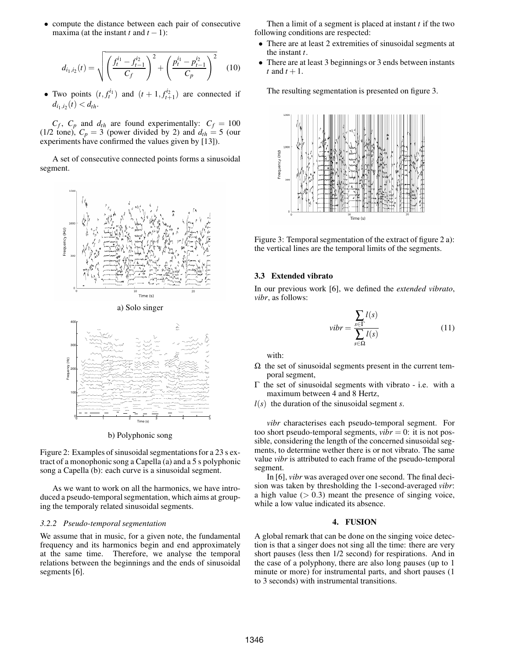• compute the distance between each pair of consecutive maxima (at the instant  $t$  and  $t - 1$ ):

$$
d_{i_1,i_2}(t) = \sqrt{\left(\frac{f_t^{i_1} - f_{t-1}^{i_2}}{C_f}\right)^2 + \left(\frac{p_t^{i_1} - p_{t-1}^{i_2}}{C_p}\right)^2}
$$
 (10)

• Two points  $(t, f_t^{i_1})$  and  $(t + 1, f_{t+1}^{i_2})$  are connected if  $d_{i_1,i_2}(t) < d_{th}$ .

 $C_f$ ,  $C_p$  and  $d_{th}$  are found experimentally:  $C_f = 100$ (1/2 tone),  $C_p = 3$  (power divided by 2) and  $d_{th} = 5$  (our experiments have confirmed the values given by [13]).

A set of consecutive connected points forms a sinusoidal segment.



a) Solo singer



b) Polyphonic song

Figure 2: Examples of sinusoidal segmentations for a 23 s extract of a monophonic song a Capella (a) and a 5 s polyphonic song a Capella (b): each curve is a sinusoidal segment.

As we want to work on all the harmonics, we have introduced a pseudo-temporal segmentation, which aims at grouping the temporaly related sinusoidal segments.

#### *3.2.2 Pseudo-temporal segmentation*

We assume that in music, for a given note, the fundamental frequency and its harmonics begin and end approximately at the same time. Therefore, we analyse the temporal relations between the beginnings and the ends of sinusoidal segments [6].

Then a limit of a segment is placed at instant *t* if the two following conditions are respected:

- There are at least 2 extremities of sinusoidal segments at the instant *t*.
- There are at least 3 beginnings or 3 ends between instants *t* and  $t + 1$ .

The resulting segmentation is presented on figure 3.



Figure 3: Temporal segmentation of the extract of figure 2 a): the vertical lines are the temporal limits of the segments.

#### **3.3 Extended vibrato**

In our previous work [6], we defined the *extended vibrato*, *vibr*, as follows:

$$
vibr = \frac{\sum_{s \in \Gamma} l(s)}{\sum_{s \in \Omega} l(s)} \tag{11}
$$

with:

- $\Omega$  the set of sinusoidal segments present in the current temporal segment,
- Γ the set of sinusoidal segments with vibrato i.e. with a maximum between 4 and 8 Hertz,
- $l(s)$  the duration of the sinusoidal segment *s*.

*vibr* characterises each pseudo-temporal segment. For too short pseudo-temporal segments,  $vibr = 0$ : it is not possible, considering the length of the concerned sinusoidal segments, to determine wether there is or not vibrato. The same value *vibr* is attributed to each frame of the pseudo-temporal segment.

In [6], *vibr* was averaged over one second. The final decision was taken by thresholding the 1-second-averaged *vibr*: a high value  $(> 0.3)$  meant the presence of singing voice, while a low value indicated its absence.

### **4. FUSION**

A global remark that can be done on the singing voice detection is that a singer does not sing all the time: there are very short pauses (less then 1/2 second) for respirations. And in the case of a polyphony, there are also long pauses (up to 1 minute or more) for instrumental parts, and short pauses (1 to 3 seconds) with instrumental transitions.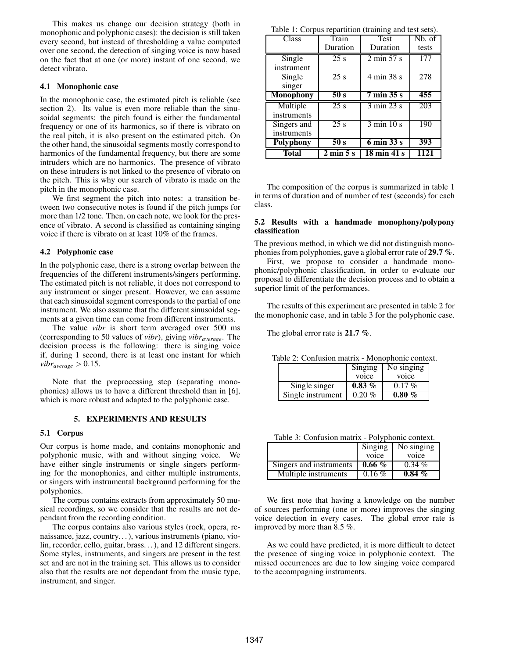This makes us change our decision strategy (both in monophonic and polyphonic cases): the decision is still taken every second, but instead of thresholding a value computed over one second, the detection of singing voice is now based on the fact that at one (or more) instant of one second, we detect vibrato.

# **4.1 Monophonic case**

In the monophonic case, the estimated pitch is reliable (see section 2). Its value is even more reliable than the sinusoidal segments: the pitch found is either the fundamental frequency or one of its harmonics, so if there is vibrato on the real pitch, it is also present on the estimated pitch. On the other hand, the sinusoidal segments mostly correspond to harmonics of the fundamental frequency, but there are some intruders which are no harmonics. The presence of vibrato on these intruders is not linked to the presence of vibrato on the pitch. This is why our search of vibrato is made on the pitch in the monophonic case.

We first segment the pitch into notes: a transition between two consecutive notes is found if the pitch jumps for more than 1/2 tone. Then, on each note, we look for the presence of vibrato. A second is classified as containing singing voice if there is vibrato on at least 10% of the frames.

# **4.2 Polyphonic case**

In the polyphonic case, there is a strong overlap between the frequencies of the different instruments/singers performing. The estimated pitch is not reliable, it does not correspond to any instrument or singer present. However, we can assume that each sinusoidal segment corresponds to the partial of one instrument. We also assume that the different sinusoidal segments at a given time can come from different instruments.

The value *vibr* is short term averaged over 500 ms (corresponding to 50 values of *vibr*), giving *vibraverage*. The decision process is the following: there is singing voice if, during 1 second, there is at least one instant for which *vibr*<sub>*average*  $> 0.15$ .</sub>

Note that the preprocessing step (separating monophonies) allows us to have a different threshold than in [6], which is more robust and adapted to the polyphonic case.

### **5. EXPERIMENTS AND RESULTS**

# **5.1 Corpus**

Our corpus is home made, and contains monophonic and polyphonic music, with and without singing voice. We have either single instruments or single singers performing for the monophonies, and either multiple instruments, or singers with instrumental background performing for the polyphonies.

The corpus contains extracts from approximately 50 musical recordings, so we consider that the results are not dependant from the recording condition.

The corpus contains also various styles (rock, opera, renaissance, jazz, country. . . ), various instruments (piano, violin, recorder, cello, guitar, brass. . . ), and 12 different singers. Some styles, instruments, and singers are present in the test set and are not in the training set. This allows us to consider also that the results are not dependant from the music type, instrument, and singer.

Table  $1:$  Corpus repartition (training and test sets).

| <b>Class</b>     | Train                        | <b>Test</b>                          | Nb. of |
|------------------|------------------------------|--------------------------------------|--------|
|                  | Duration                     | Duration                             | tests  |
| Single           | 25 s                         | $2 \text{ min } 57 \text{ s}$        | 177    |
| instrument       |                              |                                      |        |
| Single           | 25s                          | 4 min 38 s                           | 278    |
| singer           |                              |                                      |        |
| <b>Monophony</b> | 50 s                         | $\overline{7}$ min $\overline{35}$ s | 455    |
| Multiple         | 25s                          | $3 \text{ min } 23 \text{ s}$        | 203    |
| instruments      |                              |                                      |        |
| Singers and      | 25s                          | $3 \text{ min } 10 \text{ s}$        | 190    |
| instruments      |                              |                                      |        |
| Polyphony        | 50 s                         | $6 \text{ min } 33 \text{ s}$        | 393    |
| <b>Total</b>     | $2 \text{ min } 5 \text{ s}$ | 18 min 41 s                          | 1121   |

The composition of the corpus is summarized in table 1 in terms of duration and of number of test (seconds) for each class.

# **5.2 Results with a handmade monophony/polypony classification**

The previous method, in which we did not distinguish monophonies from polyphonies, gave a global error rate of **29.7 %**.

First, we propose to consider a handmade monophonic/polyphonic classification, in order to evaluate our proposal to differentiate the decision process and to obtain a superior limit of the performances.

The results of this experiment are presented in table 2 for the monophonic case, and in table 3 for the polyphonic case.

The global error rate is **21.7 %**.

Table 2: Confusion matrix - Monophonic context.

|                   | Singing   | No singing |
|-------------------|-----------|------------|
|                   | voice     | voice      |
| Single singer     | $0.83\%$  | $0.17\%$   |
| Single instrument | $0.20 \%$ | $0.80 \%$  |

Table 3: Confusion matrix - Polyphonic context.

|                         | Singing<br>voice | No singing<br>voice |
|-------------------------|------------------|---------------------|
| Singers and instruments | $0.66\%$         | $0.34\%$            |
| Multiple instruments    | $0.16\%$         | $0.84\%$            |

We first note that having a knowledge on the number of sources performing (one or more) improves the singing voice detection in every cases. The global error rate is improved by more than 8.5 %.

As we could have predicted, it is more difficult to detect the presence of singing voice in polyphonic context. The missed occurrences are due to low singing voice compared to the accompagning instruments.